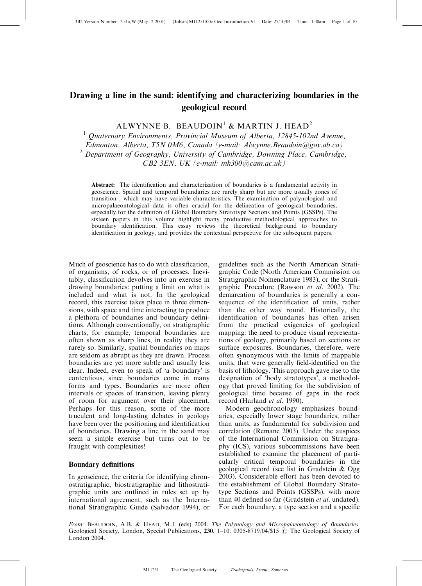# Drawing a line in the sand: identifying and characterizing boundaries in the geological record

ALWYNNE B. BEAUDOIN<sup>1</sup> & MARTIN J. HEAD<sup>2</sup>

 $1$  Quaternary Environments, Provincial Museum of Alberta, 12845-102nd Avenue,

Edmonton, Alberta, T5N 0M6, Canada (e-mail: Alwynne.Beaudoin@gov.ab.ca)

<sup>2</sup> Department of Geography, University of Cambridge, Downing Place, Cambridge,

CB2 3EN, UK (e-mail: mh300@cam.ac.uk)

Abstract: The identification and characterization of boundaries is a fundamental activity in geoscience. Spatial and temporal boundaries are rarely sharp but are more usually zones of transition , which may have variable characteristics. The examination of palynological and micropalaeontological data is often crucial for the delineation of geological boundaries, especially for the definition of Global Boundary Stratotype Sections and Points (GSSPs). The sixteen papers in this volume highlight many productive methodological approaches to boundary identification. This essay reviews the theoretical background to boundary identification in geology, and provides the contextual perspective for the subsequent papers.

Much of geoscience has to do with classification, of organisms, of rocks, or of processes. Inevitably, classification devolves into an exercise in drawing boundaries: putting a limit on what is included and what is not. In the geological record, this exercise takes place in three dimensions, with space and time interacting to produce a plethora of boundaries and boundary definitions. Although conventionally, on stratigraphic charts, for example, temporal boundaries are often shown as sharp lines, in reality they are rarely so. Similarly, spatial boundaries on maps are seldom as abrupt as they are drawn. Process boundaries are yet more subtle and usually less clear. Indeed, even to speak of 'a boundary' is contentious, since boundaries come in many forms and types. Boundaries are more often intervals or spaces of transition, leaving plenty of room for argument over their placement. Perhaps for this reason, some of the more truculent and long-lasting debates in geology have been over the positioning and identification of boundaries. Drawing a line in the sand may seem a simple exercise but turns out to be fraught with complexities!

# Boundary definitions

In geoscience, the criteria for identifying chronostratigraphic, biostratigraphic and lithostratigraphic units are outlined in rules set up by international agreement, such as the International Stratigraphic Guide (Salvador 1994), or

guidelines such as the North American Stratigraphic Code (North American Commission on Stratigraphic Nomenclature 1983), or the Stratigraphic Procedure (Rawson et al. 2002). The demarcation of boundaries is generally a consequence of the identification of units, rather than the other way round. Historically, the identification of boundaries has often arisen from the practical exigencies of geological mapping: the need to produce visual representations of geology, primarily based on sections or surface exposures. Boundaries, therefore, were often synonymous with the limits of mappable units, that were generally field-identified on the basis of lithology. This approach gave rise to the designation of 'body stratotypes', a methodology that proved limiting for the subdivision of geological time because of gaps in the rock record (Harland et al. 1990).

Modern geochronology emphasizes boundaries, especially lower stage boundaries, rather than units, as fundamental for subdivision and correlation (Remane 2003). Under the auspices of the International Commission on Stratigraphy (ICS), various subcommissions have been established to examine the placement of particularly critical temporal boundaries in the geological record (see list in Gradstein & Ogg 2003). Considerable effort has been devoted to the establishment of Global Boundary Stratotype Sections and Points (GSSPs), with more than 40 defined so far (Gradstein et al. undated). For each boundary, a type section and a specific

From: BEAUDOIN, A.B. & HEAD, M.J. (eds) 2004. The Palynology and Micropalaeontology of Boundaries. Geological Society, London, Special Publications, 230, 1–10. 0305-8719/04/\$15  $\odot$  The Geological Society of London  $2004$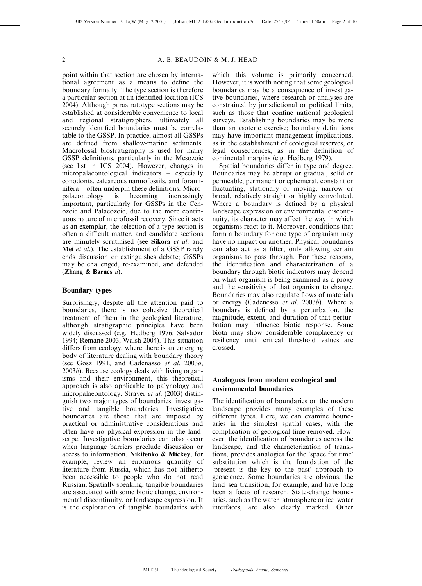point within that section are chosen by international agreement as a means to define the boundary formally. The type section is therefore a particular section at an identified location (ICS 2004). Although parastratotype sections may be established at considerable convenience to local and regional stratigraphers, ultimately all securely identified boundaries must be correlatable to the GSSP. In practice, almost all GSSPs are defined from shallow-marine sediments. Macrofossil biostratigraphy is used for many GSSP definitions, particularly in the Mesozoic (see list in ICS 2004). However, changes in micropalaeontological indicators – especially conodonts, calcareous nannofossils, and foraminifera – often underpin these definitions. Micro-<br>palaeontology is becoming increasingly palaeontology is becoming increasingly important, particularly for GSSPs in the Cenozoic and Palaeozoic, due to the more continuous nature of microfossil recovery. Since it acts as an exemplar, the selection of a type section is often a difficult matter, and candidate sections are minutely scrutinised (see Sikora et al. and Mei et al.). The establishment of a GSSP rarely ends discussion or extinguishes debate; GSSPs may be challenged, re-examined, and defended (Zhang  $\&$  Barnes  $a$ ).

#### Boundary types

Surprisingly, despite all the attention paid to boundaries, there is no cohesive theoretical treatment of them in the geological literature, although stratigraphic principles have been widely discussed (e.g. Hedberg 1976; Salvador 1994; Remane 2003; Walsh 2004). This situation differs from ecology, where there is an emerging body of literature dealing with boundary theory (see Gosz 1991, and Cadenasso et al. 2003a, 2003b). Because ecology deals with living organisms and their environment, this theoretical approach is also applicable to palynology and micropalaeontology. Strayer et al. (2003) distinguish two major types of boundaries: investigative and tangible boundaries. Investigative boundaries are those that are imposed by practical or administrative considerations and often have no physical expression in the landscape. Investigative boundaries can also occur when language barriers preclude discussion or access to information. Nikitenko & Mickey, for example, review an enormous quantity of literature from Russia, which has not hitherto been accessible to people who do not read Russian. Spatially speaking, tangible boundaries are associated with some biotic change, environmental discontinuity, or landscape expression. It is the exploration of tangible boundaries with

which this volume is primarily concerned. However, it is worth noting that some geological boundaries may be a consequence of investigative boundaries, where research or analyses are constrained by jurisdictional or political limits, such as those that confine national geological surveys. Establishing boundaries may be more than an esoteric exercise; boundary definitions may have important management implications, as in the establishment of ecological reserves, or legal consequences, as in the definition of continental margins (e.g. Hedberg 1979).

Spatial boundaries differ in type and degree. Boundaries may be abrupt or gradual, solid or permeable, permanent or ephemeral, constant or fluctuating, stationary or moving, narrow or broad, relatively straight or highly convoluted. Where a boundary is defined by a physical landscape expression or environmental discontinuity, its character may affect the way in which organisms react to it. Moreover, conditions that form a boundary for one type of organism may have no impact on another. Physical boundaries can also act as a filter, only allowing certain organisms to pass through. For these reasons, the identification and characterization of a boundary through biotic indicators may depend on what organism is being examined as a proxy and the sensitivity of that organism to change. Boundaries may also regulate flows of materials or energy (Cadenesso et al. 2003b). Where a boundary is defined by a perturbation, the magnitude, extent, and duration of that perturbation may influence biotic response. Some biota may show considerable complacency or resiliency until critical threshold values are crossed.

# Analogues from modern ecological and environmental boundaries

The identification of boundaries on the modern landscape provides many examples of these different types. Here, we can examine boundaries in the simplest spatial cases, with the complication of geological time removed. However, the identification of boundaries across the landscape, and the characterization of transitions, provides analogies for the 'space for time' substitution which is the foundation of the 'present is the key to the past' approach to geoscience. Some boundaries are obvious, the land–sea transition, for example, and have long been a focus of research. State-change boundaries, such as the water–atmosphere or ice–water interfaces, are also clearly marked. Other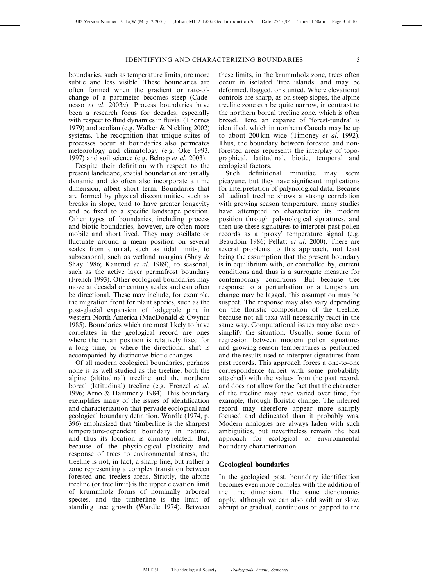boundaries, such as temperature limits, are more subtle and less visible. These boundaries are often formed when the gradient or rate-ofchange of a parameter becomes steep (Cadenesso et al. 2003a). Process boundaries have been a research focus for decades, especially with respect to fluid dynamics in fluvial (Thornes 1979) and aeolian (e.g. Walker & Nickling 2002) systems. The recognition that unique suites of processes occur at boundaries also permeates meteorology and climatology (e.g. Oke 1993, 1997) and soil science (e.g. Belnap et al. 2003).

Despite their definition with respect to the present landscape, spatial boundaries are usually dynamic and do often also incorporate a time dimension, albeit short term. Boundaries that are formed by physical discontinuities, such as breaks in slope, tend to have greater longevity and be fixed to a specific landscape position. Other types of boundaries, including process and biotic boundaries, however, are often more mobile and short lived. They may oscillate or fluctuate around a mean position on several scales from diurnal, such as tidal limits, to subseasonal, such as wetland margins (Shay & Shay 1986; Kantrud et al. 1989), to seasonal, such as the active layer–permafrost boundary (French 1993). Other ecological boundaries may move at decadal or century scales and can often be directional. These may include, for example, the migration front for plant species, such as the post-glacial expansion of lodgepole pine in western North America (MacDonald & Cwynar 1985). Boundaries which are most likely to have correlates in the geological record are ones where the mean position is relatively fixed for a long time, or where the directional shift is accompanied by distinctive biotic changes.

Of all modern ecological boundaries, perhaps none is as well studied as the treeline, both the alpine (altitudinal) treeline and the northern boreal (latitudinal) treeline (e.g. Frenzel et al. 1996; Arno & Hammerly 1984). This boundary exemplifies many of the issues of identification and characterization that pervade ecological and geological boundary definition. Wardle (1974, p. 396) emphasized that 'timberline is the sharpest temperature-dependent boundary in nature', and thus its location is climate-related. But, because of the physiological plasticity and response of trees to environmental stress, the treeline is not, in fact, a sharp line, but rather a zone representing a complex transition between forested and treeless areas. Strictly, the alpine treeline (or tree limit) is the upper elevation limit of krummholz forms of nominally arboreal species, and the timberline is the limit of standing tree growth (Wardle 1974). Between

these limits, in the krummholz zone, trees often occur in isolated 'tree islands' and may be deformed, flagged, or stunted. Where elevational controls are sharp, as on steep slopes, the alpine treeline zone can be quite narrow, in contrast to the northern boreal treeline zone, which is often broad. Here, an expanse of 'forest-tundra' is identified, which in northern Canada may be up to about 200 km wide (Timoney et al. 1992). Thus, the boundary between forested and nonforested areas represents the interplay of topographical, latitudinal, biotic, temporal and ecological factors.

Such definitional minutiae may seem picayune, but they have significant implications for interpretation of palynological data. Because altitudinal treeline shows a strong correlation with growing season temperature, many studies have attempted to characterize its modern position through palynological signatures, and then use these signatures to interpret past pollen records as a 'proxy' temperature signal (e.g. Beaudoin 1986; Pellatt et al. 2000). There are several problems to this approach, not least being the assumption that the present boundary is in equilibrium with, or controlled by, current conditions and thus is a surrogate measure for contemporary conditions. But because tree response to a perturbation or a temperature change may be lagged, this assumption may be suspect. The response may also vary depending on the floristic composition of the treeline, because not all taxa will necessarily react in the same way. Computational issues may also oversimplify the situation. Usually, some form of regression between modern pollen signatures and growing season temperatures is performed and the results used to interpret signatures from past records. This approach forces a one-to-one correspondence (albeit with some probability attached) with the values from the past record, and does not allow for the fact that the character of the treeline may have varied over time, for example, through floristic change. The inferred record may therefore appear more sharply focused and delineated than it probably was. Modern analogies are always laden with such ambiguities, but nevertheless remain the best approach for ecological or environmental boundary characterization.

#### Geological boundaries

In the geological past, boundary identification becomes even more complex with the addition of the time dimension. The same dichotomies apply, although we can also add swift or slow, abrupt or gradual, continuous or gapped to the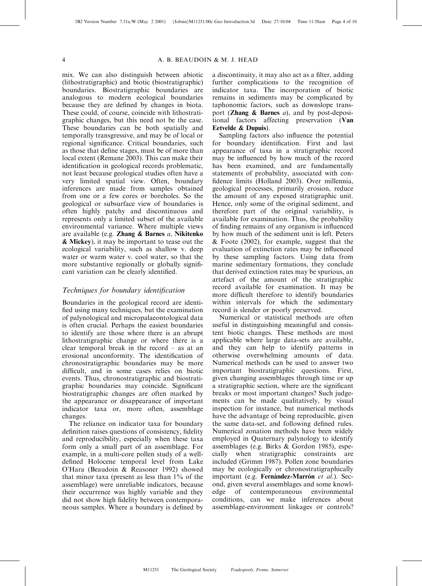mix. We can also distinguish between abiotic (lithostratigraphic) and biotic (biostratigraphic) boundaries. Biostratigraphic boundaries are analogous to modern ecological boundaries because they are defined by changes in biota. These could, of course, coincide with lithostratigraphic changes, but this need not be the case. These boundaries can be both spatially and temporally transgressive, and may be of local or regional significance. Critical boundaries, such as those that define stages, must be of more than local extent (Remane 2003). This can make their identification in geological records problematic, not least because geological studies often have a very limited spatial view. Often, boundary inferences are made from samples obtained from one or a few cores or boreholes. So the geological or subsurface view of boundaries is often highly patchy and discontinuous and represents only a limited subset of the available environmental variance. Where multiple views are available (e.g. Zhang & Barnes a, Nikitenko & Mickey), it may be important to tease out the ecological variability, such as shallow v. deep water or warm water v. cool water, so that the more substantive regionally or globally significant variation can be clearly identified.

#### Techniques for boundary identification

Boundaries in the geological record are identified using many techniques, but the examination of palynological and micropalaeontological data is often crucial. Perhaps the easiest boundaries to identify are those where there is an abrupt lithostratigraphic change or where there is a clear temporal break in the record – as at an erosional unconformity. The identification of chronostratigraphic boundaries may be more difficult, and in some cases relies on biotic events. Thus, chronostratigraphic and biostratigraphic boundaries may coincide. Significant biostratigraphic changes are often marked by the appearance or disappearance of important indicator taxa or, more often, assemblage changes.

The reliance on indicator taxa for boundary definition raises questions of consistency, fidelity and reproducibility, especially when these taxa form only a small part of an assemblage. For example, in a multi-core pollen study of a welldefined Holocene temporal level from Lake O'Hara (Beaudoin & Reasoner 1992) showed that minor taxa (present as less than 1% of the assemblage) were unreliable indicators, because their occurrence was highly variable and they did not show high fidelity between contemporaneous samples. Where a boundary is defined by a discontinuity, it may also act as a filter, adding further complications to the recognition of indicator taxa. The incorporation of biotic remains in sediments may be complicated by taphonomic factors, such as downslope transport (Zhang  $\&$  Barnes *a*), and by post-depositional factors affecting preservation (Van Eetvelde & Dupuis).

Sampling factors also influence the potential for boundary identification. First and last appearance of taxa in a stratigraphic record may be influenced by how much of the record has been examined, and are fundamentally statements of probability, associated with confidence limits (Holland 2003). Over millennia, geological processes, primarily erosion, reduce the amount of any exposed stratigraphic unit. Hence, only some of the original sediment, and therefore part of the original variability, is available for examination. Thus, the probability of finding remains of any organism is influenced by how much of the sediment unit is left. Peters & Foote (2002), for example, suggest that the evaluation of extinction rates may be influenced by these sampling factors. Using data from marine sedimentary formations, they conclude that derived extinction rates may be spurious, an artefact of the amount of the stratigraphic record available for examination. It may be more difficult therefore to identify boundaries within intervals for which the sedimentary record is slender or poorly preserved.

Numerical or statistical methods are often useful in distinguishing meaningful and consistent biotic changes. These methods are most applicable where large data-sets are available, and they can help to identify patterns in otherwise overwhelming amounts of data. Numerical methods can be used to answer two important biostratigraphic questions. First, given changing assemblages through time or up a stratigraphic section, where are the significant breaks or most important changes? Such judgements can be made qualitatively, by visual inspection for instance, but numerical methods have the advantage of being reproducible, given the same data-set, and following defined rules. Numerical zonation methods have been widely employed in Quaternary palynology to identify assemblages (e.g. Birks & Gordon 1985), especially when stratigraphic constraints are included (Grimm 1987). Pollen zone boundaries may be ecologically or chronostratigraphically important (e.g. Fernández-Marrón et al.). Second, given several assemblages and some knowledge of contemporaneous environmental conditions, can we make inferences about assemblage-environment linkages or controls?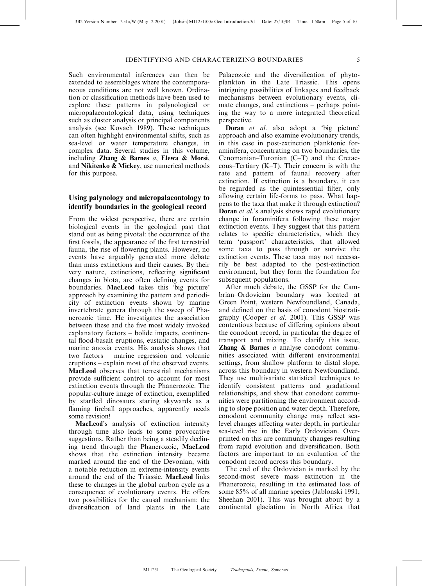Such environmental inferences can then be extended to assemblages where the contemporaneous conditions are not well known. Ordination or classification methods have been used to explore these patterns in palynological or micropalaeontological data, using techniques such as cluster analysis or principal components analysis (see Kovach 1989). These techniques can often highlight environmental shifts, such as sea-level or water temperature changes, in complex data. Several studies in this volume, including Zhang & Barnes  $a$ , Elewa & Morsi, and Nikitenko  $\&$  Mickey, use numerical methods for this purpose.

# Using palynology and micropalaeontology to identify boundaries in the geological record

From the widest perspective, there are certain biological events in the geological past that stand out as being pivotal: the occurrence of the first fossils, the appearance of the first terrestrial fauna, the rise of flowering plants. However, no events have arguably generated more debate than mass extinctions and their causes. By their very nature, extinctions, reflecting significant changes in biota, are often defining events for boundaries. MacLeod takes this 'big picture' approach by examining the pattern and periodicity of extinction events shown by marine invertebrate genera through the sweep of Phanerozoic time. He investigates the association between these and the five most widely invoked explanatory factors – bolide impacts, continental flood-basalt eruptions, eustatic changes, and marine anoxia events. His analysis shows that two factors – marine regression and volcanic eruptions – explain most of the observed events. MacLeod observes that terrestrial mechanisms provide sufficient control to account for most extinction events through the Phanerozoic. The popular-culture image of extinction, exemplified by startled dinosaurs staring skywards as a flaming fireball approaches, apparently needs some revision!

MacLeod's analysis of extinction intensity through time also leads to some provocative suggestions. Rather than being a steadily declining trend through the Phanerozoic, MacLeod shows that the extinction intensity became marked around the end of the Devonian, with a notable reduction in extreme-intensity events around the end of the Triassic. MacLeod links these to changes in the global carbon cycle as a consequence of evolutionary events. He offers two possibilities for the causal mechanism: the diversification of land plants in the Late

Palaeozoic and the diversification of phytoplankton in the Late Triassic. This opens intriguing possibilities of linkages and feedback mechanisms between evolutionary events, climate changes, and extinctions – perhaps pointing the way to a more integrated theoretical perspective.

Doran et al. also adopt a 'big picture' approach and also examine evolutionary trends, in this case in post-extinction planktonic foraminifera, concentrating on two boundaries, the Cenomanian–Turonian (C–T) and the Cretaceous–Tertiary (K–T). Their concern is with the rate and pattern of faunal recovery after extinction. If extinction is a boundary, it can be regarded as the quintessential filter, only allowing certain life-forms to pass. What happens to the taxa that make it through extinction? **Doran** et al.'s analysis shows rapid evolutionary change in foraminifera following these major extinction events. They suggest that this pattern relates to specific characteristics, which they term 'passport' characteristics, that allowed some taxa to pass through or survive the extinction events. These taxa may not necessarily be best adapted to the post-extinction environment, but they form the foundation for subsequent populations.

After much debate, the GSSP for the Cambrian–Ordovician boundary was located at Green Point, western Newfoundland, Canada, and defined on the basis of conodont biostratigraphy (Cooper et al. 2001). This GSSP was contentious because of differing opinions about the conodont record, in particular the degree of transport and mixing. To clarify this issue, **Zhang & Barnes**  $a$  analyse conodont communities associated with different environmental settings, from shallow platform to distal slope, across this boundary in western Newfoundland. They use multivariate statistical techniques to identify consistent patterns and gradational relationships, and show that conodont communities were partitioning the environment according to slope position and water depth. Therefore, conodont community change may reflect sealevel changes affecting water depth, in particular sea-level rise in the Early Ordovician. Overprinted on this are community changes resulting from rapid evolution and diversification. Both factors are important to an evaluation of the conodont record across this boundary.

The end of the Ordovician is marked by the second-most severe mass extinction in the Phanerozoic, resulting in the estimated loss of some 85% of all marine species (Jablonski 1991; Sheehan 2001). This was brought about by a continental glaciation in North Africa that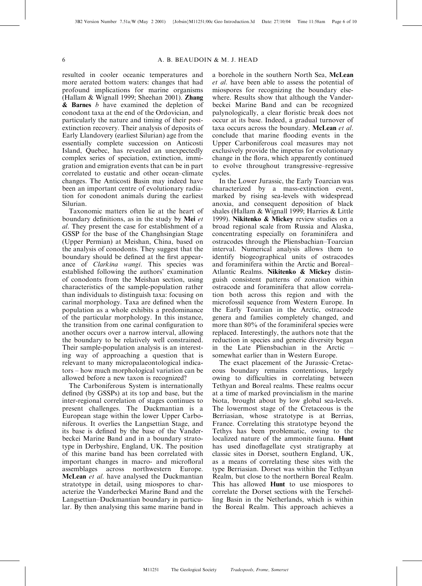resulted in cooler oceanic temperatures and more aerated bottom waters: changes that had profound implications for marine organisms (Hallam & Wignall 1999; Sheehan 2001). Zhang  $\&$  Barnes  $\&$  have examined the depletion of conodont taxa at the end of the Ordovician, and particularly the nature and timing of their postextinction recovery. Their analysis of deposits of Early Llandovery (earliest Silurian) age from the essentially complete succession on Anticosti Island, Quebec, has revealed an unexpectedly complex series of speciation, extinction, immigration and emigration events that can be in part correlated to eustatic and other ocean–climate changes. The Anticosti Basin may indeed have been an important centre of evolutionary radiation for conodont animals during the earliest Silurian.

Taxonomic matters often lie at the heart of boundary definitions, as in the study by Mei et al. They present the case for establishment of a GSSP for the base of the Changhsingian Stage (Upper Permian) at Meishan, China, based on the analysis of conodonts. They suggest that the boundary should be defined at the first appearance of *Clarkina wangi*. This species was established following the authors' examination of conodonts from the Meishan section, using characteristics of the sample-population rather than individuals to distinguish taxa: focusing on carinal morphology. Taxa are defined when the population as a whole exhibits a predominance of the particular morphology. In this instance, the transition from one carinal configuration to another occurs over a narrow interval, allowing the boundary to be relatively well constrained. Their sample-population analysis is an interesting way of approaching a question that is relevant to many micropalaeontological indicators – how much morphological variation can be allowed before a new taxon is recognized?

The Carboniferous System is internationally defined (by GSSPs) at its top and base, but the inter-regional correlation of stages continues to present challenges. The Duckmantian is a European stage within the lower Upper Carboniferous. It overlies the Langsettian Stage, and its base is defined by the base of the Vanderbeckei Marine Band and in a boundary stratotype in Derbyshire, England, UK. The position of this marine band has been correlated with important changes in macro- and microfloral assemblages across northwestern Europe. McLean et al. have analysed the Duckmantian stratotype in detail, using miospores to characterize the Vanderbeckei Marine Band and the Langsettian–Duckmantian boundary in particular. By then analysing this same marine band in

a borehole in the southern North Sea, McLean et al. have been able to assess the potential of miospores for recognizing the boundary elsewhere. Results show that although the Vanderbeckei Marine Band and can be recognized palynologically, a clear floristic break does not occur at its base. Indeed, a gradual turnover of taxa occurs across the boundary. McLean et al. conclude that marine flooding events in the Upper Carboniferous coal measures may not exclusively provide the impetus for evolutionary change in the flora, which apparently continued to evolve throughout transgressive–regressive cycles.

In the Lower Jurassic, the Early Toarcian was characterized by a mass-extinction event, marked by rising sea-levels with widespread anoxia, and consequent deposition of black shales (Hallam & Wignall 1999; Harries & Little 1999). Nikitenko & Mickey review studies on a broad regional scale from Russia and Alaska, concentrating especially on foraminifera and ostracodes through the Pliensbachian–Toarcian interval. Numerical analysis allows them to identify biogeographical units of ostracodes and foraminifera within the Arctic and Boreal– Atlantic Realms. Nikitenko & Mickey distinguish consistent patterns of zonation within ostracode and foraminifera that allow correlation both across this region and with the microfossil sequence from Western Europe. In the Early Toarcian in the Arctic, ostracode genera and families completely changed, and more than 80% of the foraminiferal species were replaced. Interestingly, the authors note that the reduction in species and generic diversity began in the Late Pliensbachian in the Arctic – somewhat earlier than in Western Europe.

The exact placement of the Jurassic–Cretaceous boundary remains contentious, largely owing to difficulties in correlating between Tethyan and Boreal realms. These realms occur at a time of marked provincialism in the marine biota, brought about by low global sea-levels. The lowermost stage of the Cretaceous is the Berriasian, whose stratotype is at Berrias, France. Correlating this stratotype beyond the Tethys has been problematic, owing to the localized nature of the ammonite fauna. Hunt has used dinoflagellate cyst stratigraphy at classic sites in Dorset, southern England, UK, as a means of correlating these sites with the type Berriasian. Dorset was within the Tethyan Realm, but close to the northern Boreal Realm. This has allowed Hunt to use miospores to correlate the Dorset sections with the Terschelling Basin in the Netherlands, which is within the Boreal Realm. This approach achieves a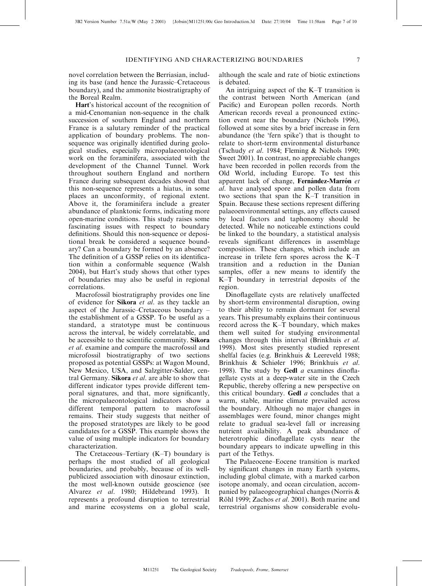novel correlation between the Berriasian, including its base (and hence the Jurassic–Cretaceous boundary), and the ammonite biostratigraphy of the Boreal Realm.

Hart's historical account of the recognition of a mid-Cenomanian non-sequence in the chalk succession of southern England and northern France is a salutary reminder of the practical application of boundary problems. The nonsequence was originally identified during geological studies, especially micropalaeontological work on the foraminifera, associated with the development of the Channel Tunnel. Work throughout southern England and northern France during subsequent decades showed that this non-sequence represents a hiatus, in some places an unconformity, of regional extent. Above it, the foraminifera include a greater abundance of planktonic forms, indicating more open-marine conditions. This study raises some fascinating issues with respect to boundary definitions. Should this non-sequence or depositional break be considered a sequence boundary? Can a boundary be formed by an absence? The definition of a GSSP relies on its identification within a conformable sequence (Walsh 2004), but Hart's study shows that other types of boundaries may also be useful in regional correlations.

Macrofossil biostratigraphy provides one line of evidence for Sikora et al. as they tackle an aspect of the Jurassic–Cretaceous boundary – the establishment of a GSSP. To be useful as a standard, a stratotype must be continuous across the interval, be widely correlatable, and be accessible to the scientific community. Sikora et al. examine and compare the macrofossil and microfossil biostratigraphy of two sections proposed as potential GSSPs: at Wagon Mound, New Mexico, USA, and Salzgitter-Salder, central Germany. Sikora et al. are able to show that different indicator types provide different temporal signatures, and that, more significantly, the micropalaeontological indicators show a different temporal pattern to macrofossil remains. Their study suggests that neither of the proposed stratotypes are likely to be good candidates for a GSSP. This example shows the value of using multiple indicators for boundary characterization.

The Cretaceous–Tertiary (K–T) boundary is perhaps the most studied of all geological boundaries, and probably, because of its wellpublicized association with dinosaur extinction, the most well-known outside geoscience (see Alvarez et al. 1980; Hildebrand 1993). It represents a profound disruption to terrestrial and marine ecosystems on a global scale,

although the scale and rate of biotic extinctions is debated.

An intriguing aspect of the K–T transition is the contrast between North American (and Pacific) and European pollen records. North American records reveal a pronounced extinction event near the boundary (Nichols 1996), followed at some sites by a brief increase in fern abundance (the 'fern spike') that is thought to relate to short-term environmental disturbance (Tschudy et al. 1984; Fleming & Nichols 1990; Sweet 2001). In contrast, no appreciable changes have been recorded in pollen records from the Old World, including Europe. To test this apparent lack of change, Fernández-Marrón et al. have analysed spore and pollen data from two sections that span the K–T transition in Spain. Because these sections represent differing palaeoenvironmental settings, any effects caused by local factors and taphonomy should be detected. While no noticeable extinctions could be linked to the boundary, a statistical analysis reveals significant differences in assemblage composition. These changes, which include an increase in trilete fern spores across the K–T transition and a reduction in the Danian samples, offer a new means to identify the K–T boundary in terrestrial deposits of the region.

Dinoflagellate cysts are relatively unaffected by short-term environmental disruption, owing to their ability to remain dormant for several years. This presumably explains their continuous record across the K–T boundary, which makes them well suited for studying environmental changes through this interval (Brinkhuis et al. 1998). Most sites presently studied represent shelfal facies (e.g. Brinkhuis & Leereveld 1988; Brinkhuis & Schiøler 1996; Brinkhuis et al. 1998). The study by Gedl  $a$  examines dinoflagellate cysts at a deep-water site in the Czech Republic, thereby offering a new perspective on this critical boundary. Gedl  $a$  concludes that a warm, stable, marine climate prevailed across the boundary. Although no major changes in assemblages were found, minor changes might relate to gradual sea-level fall or increasing nutrient availability. A peak abundance of heterotrophic dinoflagellate cysts near the boundary appears to indicate upwelling in this part of the Tethys.

The Palaeocene–Eocene transition is marked by significant changes in many Earth systems, including global climate, with a marked carbon isotope anomaly, and ocean circulation, accompanied by palaeogeographical changes (Norris & Röhl 1999; Zachos et al. 2001). Both marine and terrestrial organisms show considerable evolu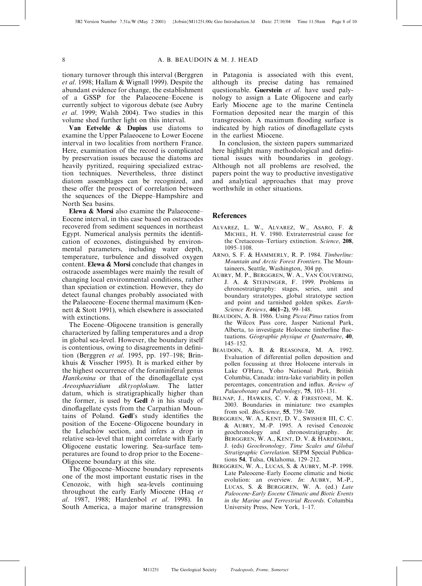tionary turnover through this interval (Berggren et al. 1998; Hallam & Wignall 1999). Despite the abundant evidence for change, the establishment of a GSSP for the Palaeocene–Eocene is currently subject to vigorous debate (see Aubry et al. 1999; Walsh 2004). Two studies in this volume shed further light on this interval.

Van Eetvelde & Dupius use diatoms to examine the Upper Palaeocene to Lower Eocene interval in two localities from northern France. Here, examination of the record is complicated by preservation issues because the diatoms are heavily pyritized, requiring specialized extraction techniques. Nevertheless, three distinct diatom assemblages can be recognized, and these offer the prospect of correlation between the sequences of the Dieppe–Hampshire and North Sea basins.

Elewa & Morsi also examine the Palaeocene– Eocene interval, in this case based on ostracodes recovered from sediment sequences in northeast Egypt. Numerical analysis permits the identification of ecozones, distinguished by environmental parameters, including water depth, temperature, turbulence and dissolved oxygen content. Elewa & Morsi conclude that changes in ostracode assemblages were mainly the result of changing local environmental conditions, rather than speciation or extinction. However, they do detect faunal changes probably associated with the Palaeocene–Eocene thermal maximum (Kennett & Stott 1991), which elsewhere is associated with extinctions.

The Eocene–Oligocene transition is generally characterized by falling temperatures and a drop in global sea-level. However, the boundary itself is contentious, owing to disagreements in definition (Berggren et al. 1995, pp. 197–198; Brinkhuis & Visscher 1995). It is marked either by the highest occurrence of the foraminiferal genus Hantkenina or that of the dinoflagellate cyst Areosphaeridium diktyoplokum. The latter datum, which is stratigraphically higher than the former, is used by **Gedl** b in his study of dinoflagellate cysts from the Carpathian Mountains of Poland. Gedl's study identifies the position of the Eocene–Oligocene boundary in the Leluchów section, and infers a drop in relative sea-level that might correlate with Early Oligocene eustatic lowering. Sea-surface temperatures are found to drop prior to the Eocene– Oligocene boundary at this site.

The Oligocene–Miocene boundary represents one of the most important eustatic rises in the Cenozoic, with high sea-levels continuing throughout the early Early Miocene (Haq et al. 1987, 1988; Hardenbol et al. 1998). In South America, a major marine transgression

in Patagonia is associated with this event, although its precise dating has remained questionable. Guerstein et al. have used palynology to assign a Late Oligocene and early Early Miocene age to the marine Centinela Formation deposited near the margin of this transgression. A maximum flooding surface is indicated by high ratios of dinoflagellate cysts in the earliest Miocene.

In conclusion, the sixteen papers summarized here highlight many methodological and definitional issues with boundaries in geology. Although not all problems are resolved, the papers point the way to productive investigative and analytical approaches that may prove worthwhile in other situations.

# References

- ALVAREZ, L. W., ALVAREZ, W., ASARO, F. & MICHEL, H. V. 1980. Extraterrestrial cause for the Cretaceous–Tertiary extinction. Science, 208, 1095–1108.
- ARNO, S. F. & HAMMERLY, R. P. 1984. Timberline: Mountain and Arctic Forest Frontiers. The Mountaineers, Seattle, Washington, 304 pp.
- AUBRY, M. P., BERGGREN, W. A., VAN COUVERING, J. A. & STEININGER, F. 1999. Problems in chronostratigraphy: stages, series, unit and boundary stratotypes, global stratotype section and point and tarnished golden spikes. Earth-Science Reviews, 46(1–2), 99–148.
- BEAUDOIN, A. B. 1986. Using Picea/Pinus ratios from the Wilcox Pass core, Jasper National Park, Alberta, to investigate Holocene timberline fluctuations. Géographie physique et Quaternaire, 40, 145–152.
- BEAUDOIN, A. B. & REASONER, M. A. 1992. Evaluation of differential pollen deposition and pollen focussing at three Holocene intervals in Lake O'Hara, Yoho National Park, British Columbia, Canada: intra-lake variability in pollen percentages, concentration and influx. Review of Palaeobotany and Palynology, 75, 103-131.
- BELNAP, J., HAWKES, C. V. & FIRESTONE, M. K. 2003. Boundaries in miniature: two examples from soil. BioScience, 55, 739–749.
- BERGGREN, W. A., KENT, D. V., SWISHER III, C. C. & AUBRY, M.-P. 1995. A revised Cenozoic geochronology and chronostratigraphy. In: BERGGREN, W. A., KENT, D. V. & HARDENBOL, J. (eds) Geochronology, Time Scales and Global Stratigraphic Correlation. SEPM Special Publications 54, Tulsa, Oklahoma, 129–212.
- BERGGREN, W. A., LUCAS, S. & AUBRY, M.-P. 1998. Late Paleocene–Early Eocene climatic and biotic evolution: an overview. In: AUBRY, M.-P., LUCAS, S. & BERGGREN, W. A. (ed.) Late Paleocene-Early Eocene Climatic and Biotic Events in the Marine and Terrestrial Records. Columbia University Press, New York, 1–17.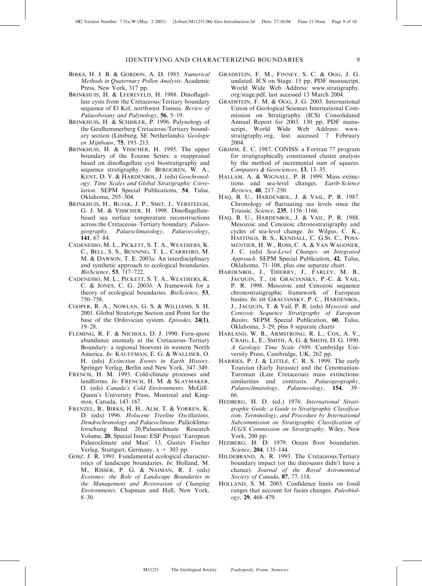- BIRKS, H. J. B. & GORDON, A. D. 1985. Numerical Methods in Quaternary Pollen Analysis. Academic Press, New York, 317 pp.
- BRINKHUIS, H. & LEEREVELD, H. 1988. Dinoflagellate cysts from the Cretaceous/Tertiary boundary sequence of El Kef, northwest Tunisia. Review of Palaeobotany and Palynology, 56, 5–19.
- BRINKHUIS, H. & SCHIØLER, P. 1996. Palynology of the Geulhemmerberg Cretaceous/Tertiary boundary section (Limburg, SE Netherlands). Geologie en Mijnbouw, 75, 193–213.
- BRINKHUIS, H. & VISSCHER, H. 1995. The upper boundary of the Eocene Series: a reappraisal based on dinoflagellate cyst biostratigraphy and sequence stratigraphy. In: BERGGREN, W. A., KENT, D. V. & HARDENBOL, J. (eds) Geochronology, Time Scales and Global Stratigraphic Correlation. SEPM Special Publications, 54, Tulsa, Oklahoma, 295–304.
- BRINKHUIS, H., BUJAK, J. P., SMIT, J., VERSTEEGH, G. J. M. & VISSCHER, H. 1998. Dinoflagellatebased sea surface temperature reconstructions across the Cretaceous–Tertiary boundary. Palaeogeography, Palaeoclimatology, Palaeoecology, 141, 67–84.
- CADENESSO, M. L., PICKETT, S. T. A., WEATHERS, K. C., BELL, S. S., BENNING, T. L., CARREIRO, M. M. & DAWSON, T. E. 2003a. An interdisciplinary and synthetic approach to ecological boundaries. BioScience, 53, 717–722.
- CADENESSO, M. L., PICKETT, S. T. A., WEATHERS, K. C. & JONES, C. G. 2003b. A framework for a theory of ecological boundaries. BioScience, 53, 750–758.
- COOPER, R. A., NOWLAN, G. S. & WILLIAMS, S. H. 2001. Global Stratotype Section and Point for the base of the Ordovician system. Episodes, 24(1),  $19-28$
- FLEMING, R. F. & NICHOLS, D. J. 1990. Fern-spore abundance anomaly at the Cretaceous–Tertiary Boundary: a regional bioevent in western North America. In: KAUFFMAN, E. G. & WALLISER, O. H. (eds) Extinction Events in Earth History. Springer Verlag, Berlin and New York, 347–349.
- FRENCH, H. M. 1993. Cold-climate processes and landforms. In: FRENCH, H. M. & SLAYMAKER, O. (eds) Canada's Cold Environments. McGill– Queen's University Press, Montreal and Kingston, Canada, 143–167.
- FRENZEL, B., BIRKS, H. H., ALM, T. & VORREN, K. D. (eds) 1996. Holocene Treeline Oscillations, Dendrochronology and Palaeoclimate. Paläoklimaforschung Band 20/Palaeoclimate Research Volume, 20, Special Issue: ESF Project 'European Palaeoclimate and Man' 13. Gustav Fischer Verlag, Stuttgart, Germany, x + 303 pp.
- GOSZ, J. R. 1991. Fundamental ecological characteristics of landscape boundaries. In: Holland, M. M., RISSER, P. G. & NAIMAN, R. J. (eds) Ecotones: the Role of Landscape Boundaries in the Management and Restoration of Changing Environments. Chapman and Hall, New York, 8–30.
- GRADSTEIN, F. M., FINNEY, S. C. & OGG, J. G. undated. ICS on Stage. 15 pp, PDF manuscript, World Wide Web Address: www.stratigraphy. org/stage.pdf, last accessed 13 March 2004.
- GRADSTEIN, F. M. & OGG, J. G. 2003. International Union of Geological Sciences International Commission on Stratigraphy (ICS) Consolidated Annual Report for 2003. 130 pp, PDF manuscript, World Wide Web Address: www. stratigraphy.org, last accessed 7 February 2004.
- GRIMM, E. C. 1987. CONISS: a Fortran 77 program for stratigraphically constrained cluster analysis by the method of incremental sum of squares. Computers & Geosciences, 13, 13–35.
- HALLAM, A. & WIGNALL, P. B. 1999. Mass extinctions and sea-level changes. Earth-Science Reviews, 48, 217–250.
- HAQ, B. U., HARDENBOL, J. & VAIL, P. R. 1987. Chronology of fluctuating sea levels since the Triassic. Science, 235, 1156–1166.
- HAQ, B. U., HARDENBOL, J. & VAIL, P. R. 1988. Mesozoic and Cenozoic chronostratigraphy and cycles of sea-level change. In: Wilgus, C. K., HASTINGS, B. S., KENDALL, C. G.St. C., POSA-MENTIER, H. W., ROSS, C. A. & VAN WAGONER, J. C. (eds) Sea-Level Changes: an Integrated Approach. SEPM Special Publication, 42. Tulsa, Oklahoma, 71–108, plus one separate chart.
- HARDENBOL, J., THIERRY, J., FARLEY, M. B., JACQUIN, T., DE GRACIANSKY, P.-C. & VAIL, P. R. 1998. Mesozoic and Cenozoic sequence chronostratigraphic framework of European basins. In: DE GRACIANSKY, P. C., HARDENBOL, J., JACQUIN, T. & Vail, P. R. (eds) Mesozoic and Cenozoic Sequence Stratigraphy of European Basins. SEPM Special Publication, 60, Tulsa, Oklahoma, 3–29, plus 8 separate charts
- HARLAND, W. B., ARMSTRONG, R. L., COX, A. V., CRAIG, L. E., SMITH, A. G. & SMITH, D. G. 1990. A Geologic Time Scale 1989. Cambridge University Press, Cambridge, UK, 262 pp.
- HARRIES, P. J. & LITTLE, C. R. S. 1999. The early Toarcian (Early Jurassic) and the Cenomanian-Turonian (Late Cretaceous) mass extinctions: similarities and contrasts. Palaeogeography, Palaeoclimatology, Palaeoecology, 154, 39– 66.
- HEDBERG, H. D. (ed.) 1976. International Stratigraphic Guide: a Guide to Stratigraphic Classification, Terminology, and Procedure by International Subcommission on Stratigraphic Classification of IUGS Commission on Stratigraphy. Wiley, New York, 200 pp.
- HEDBERG, H. D. 1979. Ocean floor boundaries. Science, 204, 135–144.
- HILDEBRAND, A. R. 1993. The Cretaceous/Tertiary boundary impact (or the dinosaurs didn't have a chance). Journal of the Royal Astronomical Society of Canada, 87, 77-118.
- HOLLAND, S. M. 2003. Confidence limits on fossil ranges that account for facies changes. Paleobiology, 29, 468–479.